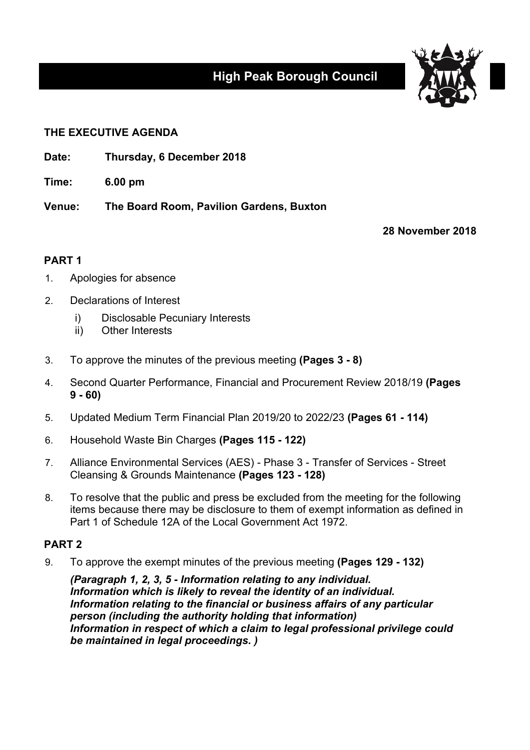# **High Peak Borough Council**



## **THE EXECUTIVE AGENDA**

- **Date: Thursday, 6 December 2018**
- **Time: 6.00 pm**

**Venue: The Board Room, Pavilion Gardens, Buxton**

**28 November 2018**

## **PART 1**

- 1. Apologies for absence
- 2. Declarations of Interest
	- i) Disclosable Pecuniary Interests
	- ii) Other Interests
- 3. To approve the minutes of the previous meeting **(Pages 3 - 8)**
- 4. Second Quarter Performance, Financial and Procurement Review 2018/19 **(Pages 9 - 60)**
- 5. Updated Medium Term Financial Plan 2019/20 to 2022/23 **(Pages 61 - 114)**
- 6. Household Waste Bin Charges **(Pages 115 - 122)**
- 7. Alliance Environmental Services (AES) Phase 3 Transfer of Services Street Cleansing & Grounds Maintenance **(Pages 123 - 128)**
- 8. To resolve that the public and press be excluded from the meeting for the following items because there may be disclosure to them of exempt information as defined in Part 1 of Schedule 12A of the Local Government Act 1972.

## **PART 2**

9. To approve the exempt minutes of the previous meeting **(Pages 129 - 132)**

*(Paragraph 1, 2, 3, 5 - Information relating to any individual. Information which is likely to reveal the identity of an individual. Information relating to the financial or business affairs of any particular person (including the authority holding that information) Information in respect of which a claim to legal professional privilege could be maintained in legal proceedings. )*